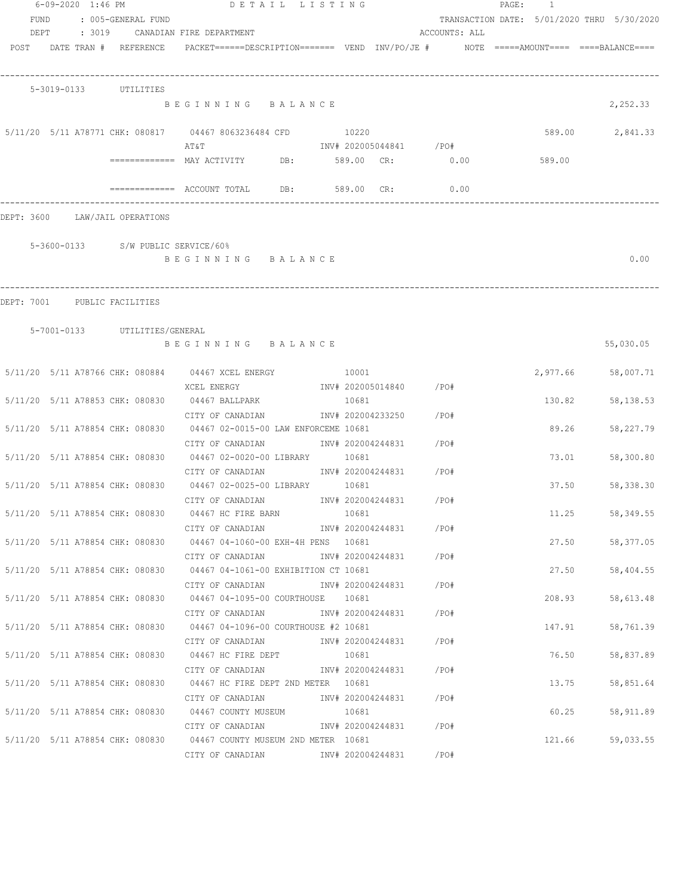| FUND                           | 6-09-2020 1:46 PM | : 005-GENERAL FUND            | DETAIL LISTING                                                                           |       |                        |                        | PAGE: 1 |        | TRANSACTION DATE: 5/01/2020 THRU 5/30/2020 |
|--------------------------------|-------------------|-------------------------------|------------------------------------------------------------------------------------------|-------|------------------------|------------------------|---------|--------|--------------------------------------------|
| DEPT                           |                   |                               | : 3019 CANADIAN FIRE DEPARTMENT                                                          |       |                        | ACCOUNTS: ALL          |         |        |                                            |
|                                |                   | POST DATE TRAN # REFERENCE    | PACKET======DESCRIPTION======== VEND INV/PO/JE # NOTE =====AMOUNT==== ====BALANCE====    |       |                        |                        |         |        |                                            |
|                                |                   | 5-3019-0133 UTILITIES         |                                                                                          |       |                        |                        |         |        |                                            |
|                                |                   |                               | BEGINNING BALANCE                                                                        |       |                        |                        |         |        | 2,252.33                                   |
|                                |                   |                               | 5/11/20  5/11  A78771  CHK:  080817  04467  8063236484  CFD<br>AT & T                    | 10220 |                        | INV# 202005044841 /PO# |         | 589.00 | 2,841.33                                   |
|                                |                   |                               | ============ MAY ACTIVITY DB: 589.00 CR: 0.00                                            |       |                        |                        |         | 589.00 |                                            |
|                                |                   |                               |                                                                                          |       |                        |                        |         |        |                                            |
|                                |                   |                               | $\texttt{-----}$ =========== ACCOUNT TOTAL DB: 589.00 CR:                                |       |                        | 0.00                   |         |        |                                            |
| DEPT: 3600 LAW/JAIL OPERATIONS |                   |                               |                                                                                          |       |                        |                        |         |        |                                            |
|                                |                   |                               | 5-3600-0133 S/W PUBLIC SERVICE/60%                                                       |       |                        |                        |         |        |                                            |
|                                |                   |                               | BEGINNING BALANCE                                                                        |       |                        |                        |         |        | 0.00                                       |
|                                |                   |                               |                                                                                          |       |                        |                        |         |        |                                            |
| DEPT: 7001 PUBLIC FACILITIES   |                   |                               |                                                                                          |       |                        |                        |         |        |                                            |
|                                |                   |                               |                                                                                          |       |                        |                        |         |        |                                            |
|                                |                   | 5-7001-0133 UTILITIES/GENERAL |                                                                                          |       |                        |                        |         |        |                                            |
|                                |                   |                               | BEGINNING BALANCE                                                                        |       |                        |                        |         |        | 55,030.05                                  |
|                                |                   |                               | 5/11/20 5/11 A78766 CHK: 080884 04467 XCEL ENERGY 10001                                  |       |                        |                        |         |        | 2,977.66 58,007.71                         |
|                                |                   |                               | XCEL ENERGY<br>INV# 202005014840 /PO#                                                    |       |                        |                        |         |        |                                            |
|                                |                   |                               | 5/11/20 5/11 A78853 CHK: 080830 04467 BALLPARK                                           | 10681 |                        |                        |         | 130.82 | 58, 138.53                                 |
|                                |                   |                               | CITY OF CANADIAN                                                                         |       | INV# 202004233250 /PO# |                        |         |        |                                            |
|                                |                   |                               | 5/11/20 5/11 A78854 CHK: 080830 04467 02-0015-00 LAW ENFORCEME 10681                     |       |                        |                        |         | 89.26  | 58,227.79                                  |
|                                |                   |                               | CITY OF CANADIAN<br>5/11/20 5/11 A78854 CHK: 080830 04467 02-0020-00 LIBRARY 10681       |       | INV# 202004244831 /PO# |                        |         | 73.01  | 58,300.80                                  |
|                                |                   |                               | CITY OF CANADIAN 1NV# 202004244831 /PO#                                                  |       |                        |                        |         |        |                                            |
|                                |                   |                               | 5/11/20 5/11 A78854 CHK: 080830 04467 02-0025-00 LIBRARY 10681                           |       |                        |                        |         | 37.50  | 58,338.30                                  |
|                                |                   |                               | CITY OF CANADIAN METALLY 1NV# 202004244831                                               |       |                        | /PO#                   |         |        |                                            |
|                                |                   |                               | 5/11/20 5/11 A78854 CHK: 080830 04467 HC FIRE BARN                                       | 10681 |                        |                        |         | 11.25  | 58,349.55                                  |
|                                |                   |                               | CITY OF CANADIAN                         INV# 202004244831           /PO#                |       |                        |                        |         |        |                                            |
|                                |                   |                               | 5/11/20 5/11 A78854 CHK: 080830 04467 04-1060-00 EXH-4H PENS 10681                       |       |                        |                        |         |        | 27.50<br>58,377.05                         |
|                                |                   |                               | CITY OF CANADIAN<br>5/11/20 5/11 A78854 CHK: 080830 04467 04-1061-00 EXHIBITION CT 10681 |       | INV# 202004244831 /PO# |                        |         | 27.50  | 58,404.55                                  |
|                                |                   |                               | CITY OF CANADIAN                                                                         |       | INV# 202004244831 /PO# |                        |         |        |                                            |
|                                |                   |                               | 5/11/20 5/11 A78854 CHK: 080830 04467 04-1095-00 COURTHOUSE 10681                        |       |                        |                        |         | 208.93 | 58,613.48                                  |
|                                |                   |                               | CITY OF CANADIAN                                                                         |       | INV# 202004244831 /PO# |                        |         |        |                                            |
|                                |                   |                               | 5/11/20 5/11 A78854 CHK: 080830 04467 04-1096-00 COURTHOUSE #2 10681                     |       |                        |                        |         | 147.91 | 58,761.39                                  |
|                                |                   |                               | CITY OF CANADIAN                                                                         |       | INV# 202004244831 /PO# |                        |         |        |                                            |
|                                |                   |                               | 5/11/20 5/11 A78854 CHK: 080830 04467 HC FIRE DEPT                                       | 10681 |                        |                        |         | 76.50  | 58,837.89                                  |
|                                |                   |                               | CITY OF CANADIAN                                                                         |       | INV# 202004244831 /PO# |                        |         |        |                                            |
|                                |                   |                               | 5/11/20 5/11 A78854 CHK: 080830 04467 HC FIRE DEPT 2ND METER 10681                       |       |                        |                        |         | 13.75  | 58,851.64                                  |
|                                |                   |                               | CITY OF CANADIAN                                                                         |       | INV# 202004244831 /PO# |                        |         |        |                                            |
|                                |                   |                               | 5/11/20 5/11 A78854 CHK: 080830 04467 COUNTY MUSEUM 10681                                |       |                        |                        |         | 60.25  | 58,911.89                                  |
|                                |                   |                               | CITY OF CANADIAN<br>5/11/20 5/11 A78854 CHK: 080830 04467 COUNTY MUSEUM 2ND METER 10681  |       | INV# 202004244831 /PO# |                        |         | 121.66 | 59,033.55                                  |
|                                |                   |                               | CITY OF CANADIAN                                                                         |       | INV# 202004244831      | /PO#                   |         |        |                                            |
|                                |                   |                               |                                                                                          |       |                        |                        |         |        |                                            |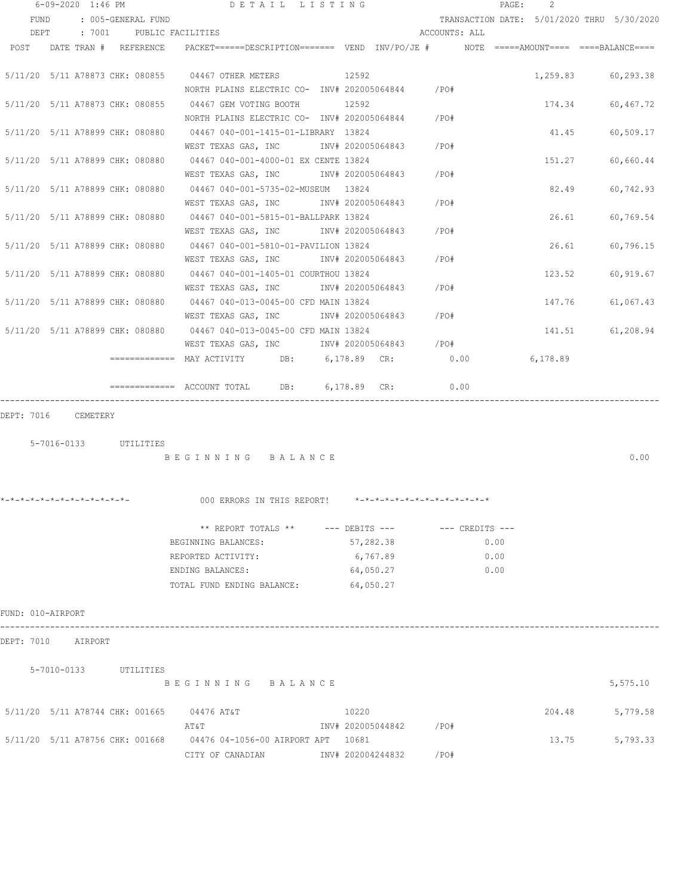| 6-09-2020 1:46 PM          |  |  |  |                       | DETAIL LISTING                                                                                              |  |                                                                                                                                           |               |      | PAGE: | 2        |                                            |  |
|----------------------------|--|--|--|-----------------------|-------------------------------------------------------------------------------------------------------------|--|-------------------------------------------------------------------------------------------------------------------------------------------|---------------|------|-------|----------|--------------------------------------------|--|
| FUND                       |  |  |  | : 005-GENERAL FUND    |                                                                                                             |  |                                                                                                                                           |               |      |       |          | TRANSACTION DATE: 5/01/2020 THRU 5/30/2020 |  |
| DEPT                       |  |  |  |                       | : 7001 PUBLIC FACILITIES                                                                                    |  |                                                                                                                                           | ACCOUNTS: ALL |      |       |          |                                            |  |
| POST DATE TRAN # REFERENCE |  |  |  |                       | PACKET======DESCRIPTION======= VEND INV/PO/JE # NOTE =====AMOUNT==== ====BALANCE====                        |  |                                                                                                                                           |               |      |       |          |                                            |  |
|                            |  |  |  |                       |                                                                                                             |  |                                                                                                                                           |               |      |       |          |                                            |  |
|                            |  |  |  |                       | 5/11/20 5/11 A78873 CHK: 080855 04467 OTHER METERS 12592                                                    |  |                                                                                                                                           |               |      |       |          | 1,259.83 60,293.38                         |  |
|                            |  |  |  |                       | NORTH PLAINS ELECTRIC CO- INV# 202005064844 / PO#                                                           |  |                                                                                                                                           |               |      |       |          |                                            |  |
|                            |  |  |  |                       | 5/11/20 5/11 A78873 CHK: 080855 04467 GEM VOTING BOOTH<br>NORTH PLAINS ELECTRIC CO- INV# 202005064844 / PO# |  | 12592                                                                                                                                     |               |      |       |          | 174.34 60,467.72                           |  |
|                            |  |  |  |                       | 5/11/20 5/11 A78899 CHK: 080880 04467 040-001-1415-01-LIBRARY 13824                                         |  |                                                                                                                                           |               |      |       |          | 41.45 60,509.17                            |  |
|                            |  |  |  |                       | WEST TEXAS GAS, INC        INV# 202005064843     /PO#                                                       |  |                                                                                                                                           |               |      |       |          |                                            |  |
|                            |  |  |  |                       | 5/11/20 5/11 A78899 CHK: 080880 04467 040-001-4000-01 EX CENTE 13824                                        |  |                                                                                                                                           |               |      |       | 151.27   | 60,660.44                                  |  |
|                            |  |  |  |                       | WEST TEXAS GAS, INC MONTH 202005064843 / PO#                                                                |  |                                                                                                                                           |               |      |       |          |                                            |  |
|                            |  |  |  |                       | 5/11/20 5/11 A78899 CHK: 080880 04467 040-001-5735-02-MUSEUM 13824                                          |  |                                                                                                                                           |               |      |       | 82.49    | 60,742.93                                  |  |
|                            |  |  |  |                       | WEST TEXAS GAS, INC MONTH 202005064843 / PO#                                                                |  |                                                                                                                                           |               |      |       |          |                                            |  |
|                            |  |  |  |                       | 5/11/20 5/11 A78899 CHK: 080880 04467 040-001-5815-01-BALLPARK 13824                                        |  |                                                                                                                                           |               |      |       | 26.61    | 60,769.54                                  |  |
|                            |  |  |  |                       | WEST TEXAS GAS, INC 1NV# 202005064843 / PO#                                                                 |  |                                                                                                                                           |               |      |       |          |                                            |  |
|                            |  |  |  |                       | 5/11/20 5/11 A78899 CHK: 080880 04467 040-001-5810-01-PAVILION 13824                                        |  |                                                                                                                                           |               |      |       | 26.61    | 60,796.15                                  |  |
|                            |  |  |  |                       | WEST TEXAS GAS, INC        INV# 202005064843     /PO#                                                       |  |                                                                                                                                           |               |      |       |          |                                            |  |
|                            |  |  |  |                       | 5/11/20 5/11 A78899 CHK: 080880 04467 040-001-1405-01 COURTHOU 13824                                        |  |                                                                                                                                           |               |      |       | 123.52   | 60,919.67                                  |  |
|                            |  |  |  |                       | WEST TEXAS GAS, INC        INV# 202005064843     /PO#                                                       |  |                                                                                                                                           |               |      |       |          |                                            |  |
|                            |  |  |  |                       | 5/11/20 5/11 A78899 CHK: 080880 04467 040-013-0045-00 CFD MAIN 13824                                        |  |                                                                                                                                           |               |      |       |          | 147.76 61,067.43                           |  |
|                            |  |  |  |                       | WEST TEXAS GAS, INC                                                                                         |  | INV# 202005064843 /PO#                                                                                                                    |               |      |       |          |                                            |  |
|                            |  |  |  |                       | 5/11/20 5/11 A78899 CHK: 080880 04467 040-013-0045-00 CFD MAIN 13824                                        |  |                                                                                                                                           |               |      |       |          | 141.51 61,208.94                           |  |
|                            |  |  |  |                       | WEST TEXAS GAS, INC MONTH 202005064843 / PO#                                                                |  |                                                                                                                                           |               |      |       |          |                                            |  |
|                            |  |  |  |                       | ============ MAY ACTIVITY DB: 6,178.89 CR: 0.00                                                             |  |                                                                                                                                           |               |      |       | 6,178.89 |                                            |  |
|                            |  |  |  |                       |                                                                                                             |  |                                                                                                                                           |               |      |       |          |                                            |  |
|                            |  |  |  |                       | ============= ACCOUNT TOTAL DB: 6,178.89 CR:                                                                |  |                                                                                                                                           | 0.00          |      |       |          |                                            |  |
|                            |  |  |  |                       |                                                                                                             |  |                                                                                                                                           |               |      |       |          |                                            |  |
| DEPT: 7016 CEMETERY        |  |  |  |                       |                                                                                                             |  |                                                                                                                                           |               |      |       |          |                                            |  |
|                            |  |  |  | 5-7016-0133 UTILITIES |                                                                                                             |  |                                                                                                                                           |               |      |       |          |                                            |  |
|                            |  |  |  |                       | BEGINNING BALANCE                                                                                           |  |                                                                                                                                           |               |      |       |          | 0.00                                       |  |
|                            |  |  |  |                       |                                                                                                             |  |                                                                                                                                           |               |      |       |          |                                            |  |
|                            |  |  |  |                       |                                                                                                             |  |                                                                                                                                           |               |      |       |          |                                            |  |
|                            |  |  |  |                       | *-*-*-*-*-*-*-*-*-*-*-*-*- 000 ERRORS IN THIS REPORT!                                                       |  | $\star$ _ $\star$ _ $\star$ _ $\star$ _ $\star$ _ $\star$ _ $\star$ _ $\star$ _ $\star$ _ $\star$ _ $\star$ _ $\star$ _ $\star$ _ $\star$ |               |      |       |          |                                            |  |
|                            |  |  |  |                       |                                                                                                             |  |                                                                                                                                           |               |      |       |          |                                            |  |
|                            |  |  |  |                       |                                                                                                             |  |                                                                                                                                           |               |      |       |          |                                            |  |
|                            |  |  |  |                       | BEGINNING BALANCES:                                                                                         |  | 57,282.38                                                                                                                                 |               |      | 0.00  |          |                                            |  |
|                            |  |  |  |                       | REPORTED ACTIVITY:                                                                                          |  | 6,767.89                                                                                                                                  |               | 0.00 |       |          |                                            |  |
|                            |  |  |  |                       | ENDING BALANCES:                                                                                            |  | 64,050.27                                                                                                                                 |               | 0.00 |       |          |                                            |  |
|                            |  |  |  |                       | TOTAL FUND ENDING BALANCE: 64,050.27                                                                        |  |                                                                                                                                           |               |      |       |          |                                            |  |
|                            |  |  |  |                       |                                                                                                             |  |                                                                                                                                           |               |      |       |          |                                            |  |
| FUND: 010-AIRPORT          |  |  |  |                       |                                                                                                             |  |                                                                                                                                           |               |      |       |          |                                            |  |
| DEPT: 7010 AIRPORT         |  |  |  |                       |                                                                                                             |  |                                                                                                                                           |               |      |       |          |                                            |  |
|                            |  |  |  |                       |                                                                                                             |  |                                                                                                                                           |               |      |       |          |                                            |  |
|                            |  |  |  | 5-7010-0133 UTILITIES |                                                                                                             |  |                                                                                                                                           |               |      |       |          |                                            |  |
|                            |  |  |  |                       | BEGINNING BALANCE                                                                                           |  |                                                                                                                                           |               |      |       |          | 5,575.10                                   |  |
|                            |  |  |  |                       |                                                                                                             |  |                                                                                                                                           |               |      |       |          |                                            |  |
|                            |  |  |  |                       | 5/11/20 5/11 A78744 CHK: 001665 04476 AT&T                                                                  |  | 10220                                                                                                                                     |               |      |       | 204.48   | 5,779.58                                   |  |
|                            |  |  |  |                       | AT&T                                                                                                        |  | INV# 202005044842 /PO#                                                                                                                    |               |      |       |          |                                            |  |
|                            |  |  |  |                       | 5/11/20 5/11 A78756 CHK: 001668 04476 04-1056-00 AIRPORT APT 10681                                          |  |                                                                                                                                           |               |      |       | 13.75    | 5,793.33                                   |  |
|                            |  |  |  |                       | CITY OF CANADIAN                                                                                            |  | INV# 202004244832                                                                                                                         | /PO#          |      |       |          |                                            |  |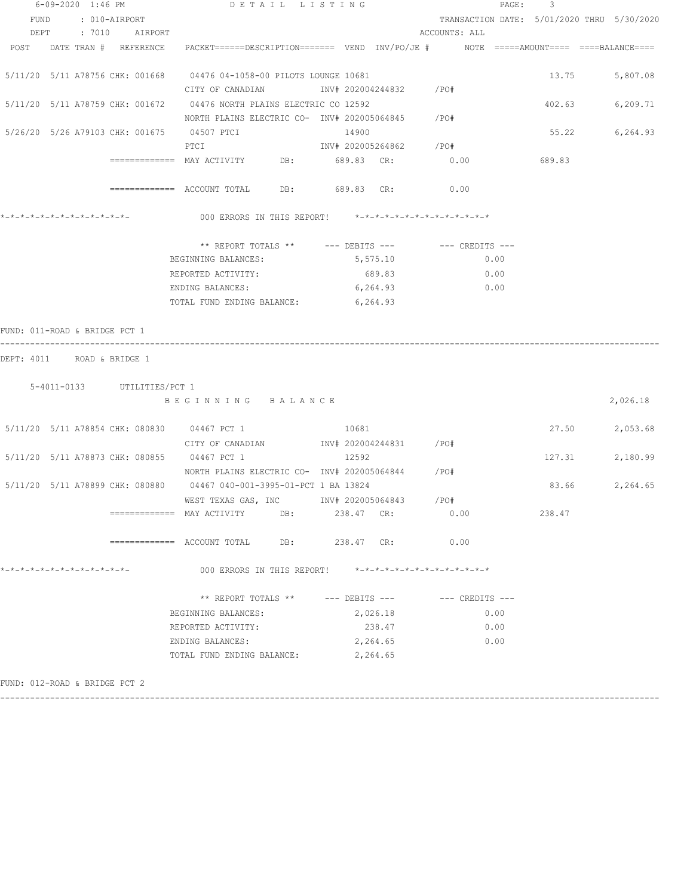| 6-09-2020 1:46 PM                                           |  |                    |  |                             |                                                                                                                              | DETAIL LISTING |            |                        | PAGE:<br>3 |                                                         |              |                                            |  |           |
|-------------------------------------------------------------|--|--------------------|--|-----------------------------|------------------------------------------------------------------------------------------------------------------------------|----------------|------------|------------------------|------------|---------------------------------------------------------|--------------|--------------------------------------------|--|-----------|
|                                                             |  | FUND : 010-AIRPORT |  | DEPT : 7010 AIRPORT         |                                                                                                                              |                |            |                        |            | ACCOUNTS: ALL                                           |              | TRANSACTION DATE: 5/01/2020 THRU 5/30/2020 |  |           |
|                                                             |  |                    |  | POST DATE TRAN # REFERENCE  | PACKET======DESCRIPTION======= VEND INV/PO/JE #    NOTE =====AMOUNT==== ====BALANCE====                                      |                |            |                        |            |                                                         |              |                                            |  |           |
|                                                             |  |                    |  |                             | 5/11/20 5/11 A78756 CHK: 001668 04476 04-1058-00 PILOTS LOUNGE 10681<br>CITY OF CANADIAN METALLY AND TIME 202004244832 / PO# |                |            |                        |            |                                                         |              | 13.75                                      |  | 5,807.08  |
|                                                             |  |                    |  |                             | 5/11/20 5/11 A78759 CHK: 001672 04476 NORTH PLAINS ELECTRIC CO 12592<br>NORTH PLAINS ELECTRIC CO- INV# 202005064845 / PO#    |                |            |                        |            |                                                         |              | 402.63                                     |  | 6, 209.71 |
|                                                             |  |                    |  |                             | 5/26/20 5/26 A79103 CHK: 001675 04507 PTCI<br>PTCI 701 / 702005264862 7PO#                                                   |                | 14900      |                        |            |                                                         |              | 55.22                                      |  | 6,264.93  |
|                                                             |  |                    |  |                             |                                                                                                                              |                |            |                        |            |                                                         |              | 689.83                                     |  |           |
|                                                             |  |                    |  |                             | ============ ACCOUNT TOTAL DB: 689.83 CR: 0.00                                                                               |                |            |                        |            |                                                         |              |                                            |  |           |
|                                                             |  |                    |  |                             | 000 ERRORS IN THIS REPORT! *-*-*-*-*-*-*-*-*-*-*-*-*-*-                                                                      |                |            |                        |            |                                                         |              |                                            |  |           |
|                                                             |  |                    |  |                             | ** REPORT TOTALS ** --- DEBITS --- -- -- CREDITS ---                                                                         |                |            |                        |            |                                                         |              |                                            |  |           |
|                                                             |  |                    |  |                             | BEGINNING BALANCES:                                                                                                          |                |            | 5,575.10               |            |                                                         | 0.00         |                                            |  |           |
|                                                             |  |                    |  |                             | REPORTED ACTIVITY:<br>ENDING BALANCES:                                                                                       |                |            | 689.83                 |            |                                                         | 0.00<br>0.00 |                                            |  |           |
|                                                             |  |                    |  |                             | TOTAL FUND ENDING BALANCE: 6,264.93                                                                                          |                | 6,264.93   |                        |            |                                                         |              |                                            |  |           |
| FUND: 011-ROAD & BRIDGE PCT 1<br>DEPT: 4011 ROAD & BRIDGE 1 |  |                    |  | 5-4011-0133 UTILITIES/PCT 1 |                                                                                                                              |                |            |                        |            |                                                         |              |                                            |  |           |
|                                                             |  |                    |  |                             | BEGINNING BALANCE                                                                                                            |                |            |                        |            |                                                         |              |                                            |  | 2,026.18  |
|                                                             |  |                    |  |                             | 5/11/20 5/11 A78854 CHK: 080830 04467 PCT 1<br>CITY OF CANADIAN                                                              |                | 10681      | INV# 202004244831 /PO# |            |                                                         |              | 27.50                                      |  | 2,053.68  |
|                                                             |  |                    |  |                             | 5/11/20 5/11 A78873 CHK: 080855 04467 PCT 1<br>NORTH PLAINS ELECTRIC CO- INV# 202005064844 / PO#                             |                | 12592      |                        |            |                                                         |              | 127.31                                     |  | 2,180.99  |
|                                                             |  |                    |  |                             | 5/11/20 5/11 A78899 CHK: 080880 04467 040-001-3995-01-PCT 1 BA 13824<br>WEST TEXAS GAS, INC MONTH 202005064843 / PO#         |                |            |                        |            |                                                         |              | 83.66                                      |  | 2,264.65  |
|                                                             |  |                    |  |                             |                                                                                                                              | DB:            | 238.47 CR: |                        |            | 0.00                                                    |              | 238.47                                     |  |           |
|                                                             |  |                    |  |                             |                                                                                                                              | DB:            |            | 238.47 CR:             |            | 0.00                                                    |              |                                            |  |           |
| *-*-*-*-*-*-*-*-*-*-*-*-*-*-                                |  |                    |  |                             | 000 ERRORS IN THIS REPORT!                                                                                                   |                |            |                        |            | $* - * - * - * - * - * - * - * - * - * - * - * - * - *$ |              |                                            |  |           |
|                                                             |  |                    |  |                             | ** REPORT TOTALS **                                                                                                          |                |            | --- DEBITS ---         |            | --- CREDITS ---                                         |              |                                            |  |           |
|                                                             |  |                    |  |                             | BEGINNING BALANCES:                                                                                                          |                |            | 2,026.18               |            |                                                         | 0.00         |                                            |  |           |
|                                                             |  |                    |  |                             | REPORTED ACTIVITY:                                                                                                           |                |            | 238.47                 |            |                                                         | 0.00         |                                            |  |           |
|                                                             |  |                    |  |                             | ENDING BALANCES:<br>TOTAL FUND ENDING BALANCE:                                                                               |                | 2,264.65   | 2,264.65               |            |                                                         | 0.00         |                                            |  |           |
|                                                             |  |                    |  |                             |                                                                                                                              |                |            |                        |            |                                                         |              |                                            |  |           |

------------------------------------------------------------------------------------------------------------------------------------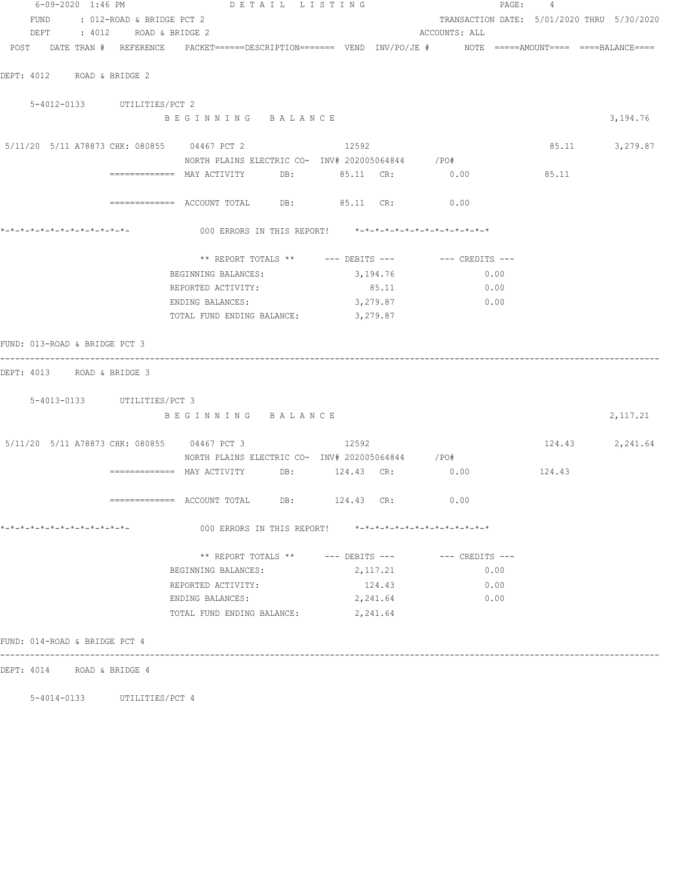| 6-09-2020 1:46 PM                                                                                               | DETAIL LISTING                                    |                                                                    |                                            | PAGE: 4 |                 |
|-----------------------------------------------------------------------------------------------------------------|---------------------------------------------------|--------------------------------------------------------------------|--------------------------------------------|---------|-----------------|
| FUND : 012-ROAD & BRIDGE PCT 2                                                                                  |                                                   |                                                                    | TRANSACTION DATE: 5/01/2020 THRU 5/30/2020 |         |                 |
| DEPT : 4012 ROAD & BRIDGE 2                                                                                     |                                                   |                                                                    | ACCOUNTS: ALL                              |         |                 |
| POST DATE TRAN # REFERENCE PACKET======DESCRIPTION======= VEND INV/PO/JE # NOTE =====AMOUNT==== ====BALANCE==== |                                                   |                                                                    |                                            |         |                 |
| DEPT: 4012 ROAD & BRIDGE 2                                                                                      |                                                   |                                                                    |                                            |         |                 |
|                                                                                                                 |                                                   |                                                                    |                                            |         |                 |
| 5-4012-0133 UTILITIES/PCT 2                                                                                     |                                                   |                                                                    |                                            |         |                 |
|                                                                                                                 | BEGINNING BALANCE                                 |                                                                    |                                            |         | 3,194.76        |
| 5/11/20 5/11 A78873 CHK: 080855 04467 PCT 2 12592                                                               |                                                   |                                                                    |                                            |         | 85.11 3,279.87  |
|                                                                                                                 | NORTH PLAINS ELECTRIC CO- INV# 202005064844 / PO# |                                                                    |                                            |         |                 |
|                                                                                                                 | =============== MAY ACTIVITY DB: 85.11 CR: 0.00   |                                                                    |                                            | 85.11   |                 |
|                                                                                                                 | ============ ACCOUNT TOTAL DB: 85.11 CR: 0.00     |                                                                    |                                            |         |                 |
|                                                                                                                 |                                                   |                                                                    |                                            |         |                 |
|                                                                                                                 |                                                   |                                                                    |                                            |         |                 |
|                                                                                                                 | BEGINNING BALANCES:                               | ** REPORT TOTALS ** $---$ DEBITS --- $---$ CREDITS ---<br>3,194.76 | 0.00                                       |         |                 |
|                                                                                                                 | REPORTED ACTIVITY:                                | 85.11                                                              | 0.00                                       |         |                 |
|                                                                                                                 | ENDING BALANCES:                                  | 3, 279.87                                                          | 0.00                                       |         |                 |
|                                                                                                                 | TOTAL FUND ENDING BALANCE: 3,279.87               |                                                                    |                                            |         |                 |
|                                                                                                                 |                                                   |                                                                    |                                            |         |                 |
| FUND: 013-ROAD & BRIDGE PCT 3                                                                                   |                                                   |                                                                    |                                            |         |                 |
| DEPT: 4013 ROAD & BRIDGE 3                                                                                      |                                                   |                                                                    |                                            |         |                 |
| 5-4013-0133 UTILITIES/PCT 3                                                                                     |                                                   |                                                                    |                                            |         |                 |
|                                                                                                                 | BEGINNING BALANCE                                 |                                                                    |                                            |         | 2,117.21        |
|                                                                                                                 |                                                   |                                                                    |                                            |         |                 |
| 5/11/20 5/11 A78873 CHK: 080855 04467 PCT 3 3 12592                                                             |                                                   |                                                                    |                                            |         | 124.43 2,241.64 |
|                                                                                                                 | NORTH PLAINS ELECTRIC CO- INV# 202005064844 / PO# |                                                                    |                                            |         |                 |
|                                                                                                                 | ============= MAY ACTIVITY DB: 124.43 CR: 0.00    |                                                                    |                                            | 124.43  |                 |
|                                                                                                                 | ============ ACCOUNT TOTAL DB: 124.43 CR: 0.00    |                                                                    |                                            |         |                 |
| *-*-*-*-*-*-*-*-*-*-*-*-*-*-                                                                                    |                                                   | 000 ERRORS IN THIS REPORT! *-*-*-*-*-*-*-*-*-*-*-*-*-*-            |                                            |         |                 |
|                                                                                                                 |                                                   | ** REPORT TOTALS ** --- DEBITS --- -- -- CREDITS ---               |                                            |         |                 |
|                                                                                                                 | BEGINNING BALANCES:                               | 2,117.21                                                           | 0.00                                       |         |                 |
|                                                                                                                 | REPORTED ACTIVITY:                                | 124.43                                                             | 0.00                                       |         |                 |
|                                                                                                                 | ENDING BALANCES:                                  | 2,241.64                                                           | 0.00                                       |         |                 |
|                                                                                                                 | TOTAL FUND ENDING BALANCE:                        | 2,241.64                                                           |                                            |         |                 |
| FUND: 014-ROAD & BRIDGE PCT 4                                                                                   |                                                   |                                                                    |                                            |         |                 |
|                                                                                                                 |                                                   |                                                                    |                                            |         |                 |
| DEPT: 4014 ROAD & BRIDGE 4                                                                                      |                                                   |                                                                    |                                            |         |                 |

5-4014-0133 UTILITIES/PCT 4